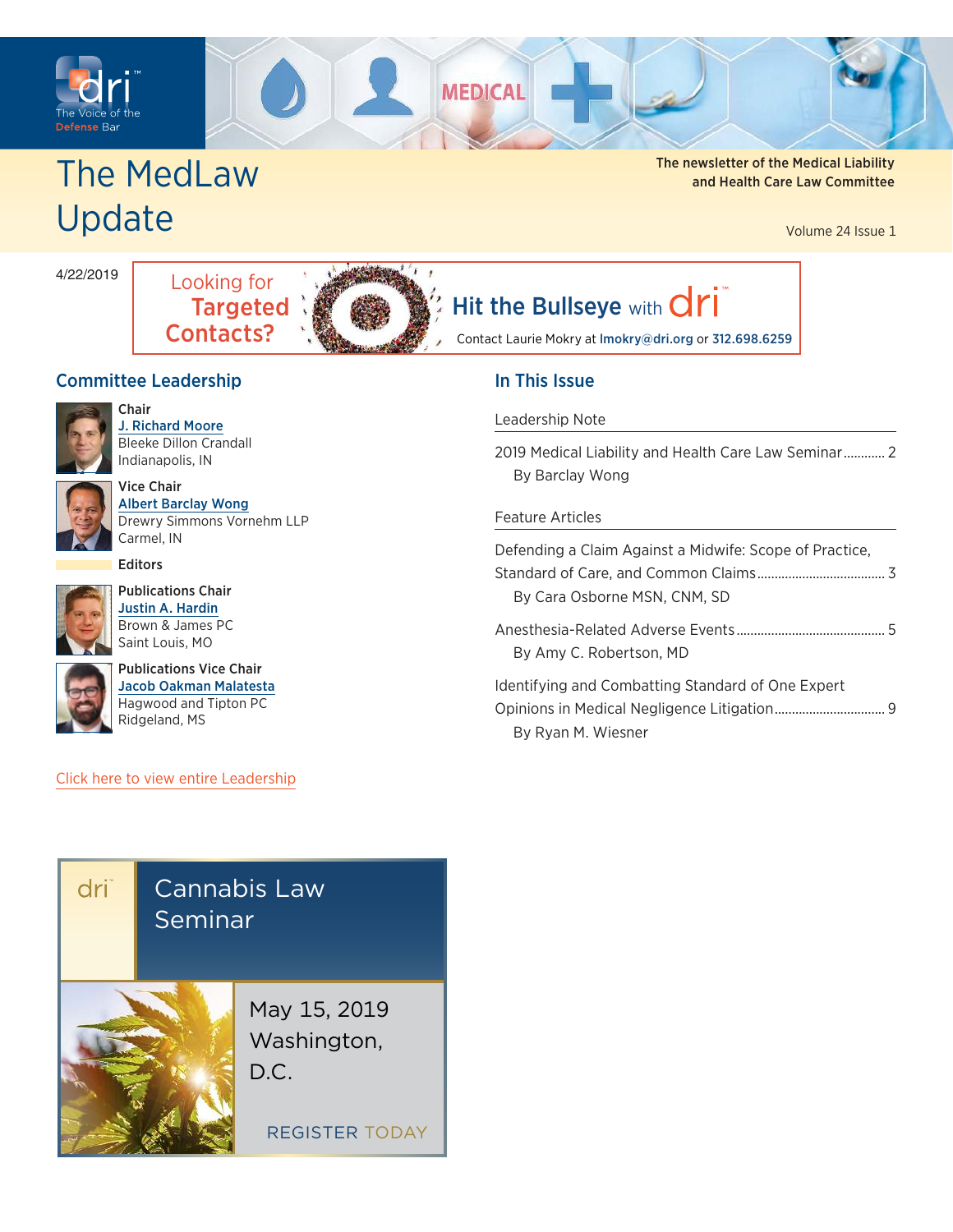<span id="page-0-0"></span>



# Update

The MedLaw and Health Care Law Committee

Volume 24 Issue 1

4/22/2019



# [Hit the Bullseye](mailto:lmokry@dri.org?subject=) with  $\text{d}r\text{i}$

Contact Laurie Mokry at lmokry@dri.org or 312.698.6259

## Committee Leadership



Chair [J. Richard Moore](https://members.dri.org/DRIIMIS/DRI/Contacts/ContactLayouts/Profile.aspx?ID=224416) Bleeke Dillon Crandall Indianapolis, IN



Vice Chair [Albert Barclay Wong](https://members.dri.org/DRIIMIS/DRI/Contacts/ContactLayouts/Profile.aspx?ID=292489) Drewry Simmons Vornehm LLP Carmel, IN

Editors



Publications Chair [Justin A. Hardin](https://members.dri.org/DRIIMIS/DRI/Contacts/ContactLayouts/Profile.aspx?ID=415384) Brown & James PC Saint Louis, MO



[Publications Vice Chair](https://members.dri.org/DRIIMIS/DRI/Contacts/ContactLayouts/Profile.aspx?ID=335310) [Jacob Oakman Malatesta](https://members.dri.org/DRIIMIS/DRI/Contacts/ContactLayouts/Profile.aspx?ID=335310) Hagwood and Tipton PC Ridgeland, MS

#### [Click here to view entire Leadership](https://www.dri.org/committees/leadership/0175)

## In This Issue

#### [Leadership Note](#page-1-0)

| 2019 Medical Liability and Health Care Law Seminar 2 |  |  |  |
|------------------------------------------------------|--|--|--|
| By Barclay Wong                                      |  |  |  |

#### [Feature Articles](#page-2-0)

| Defending a Claim Against a Midwife: Scope of Practice, |  |
|---------------------------------------------------------|--|
|                                                         |  |
| By Cara Osborne MSN, CNM, SD                            |  |
|                                                         |  |
| By Amy C. Robertson, MD                                 |  |
| Identifying and Combatting Standard of One Expert       |  |
|                                                         |  |
| By Ryan M. Wiesner                                      |  |

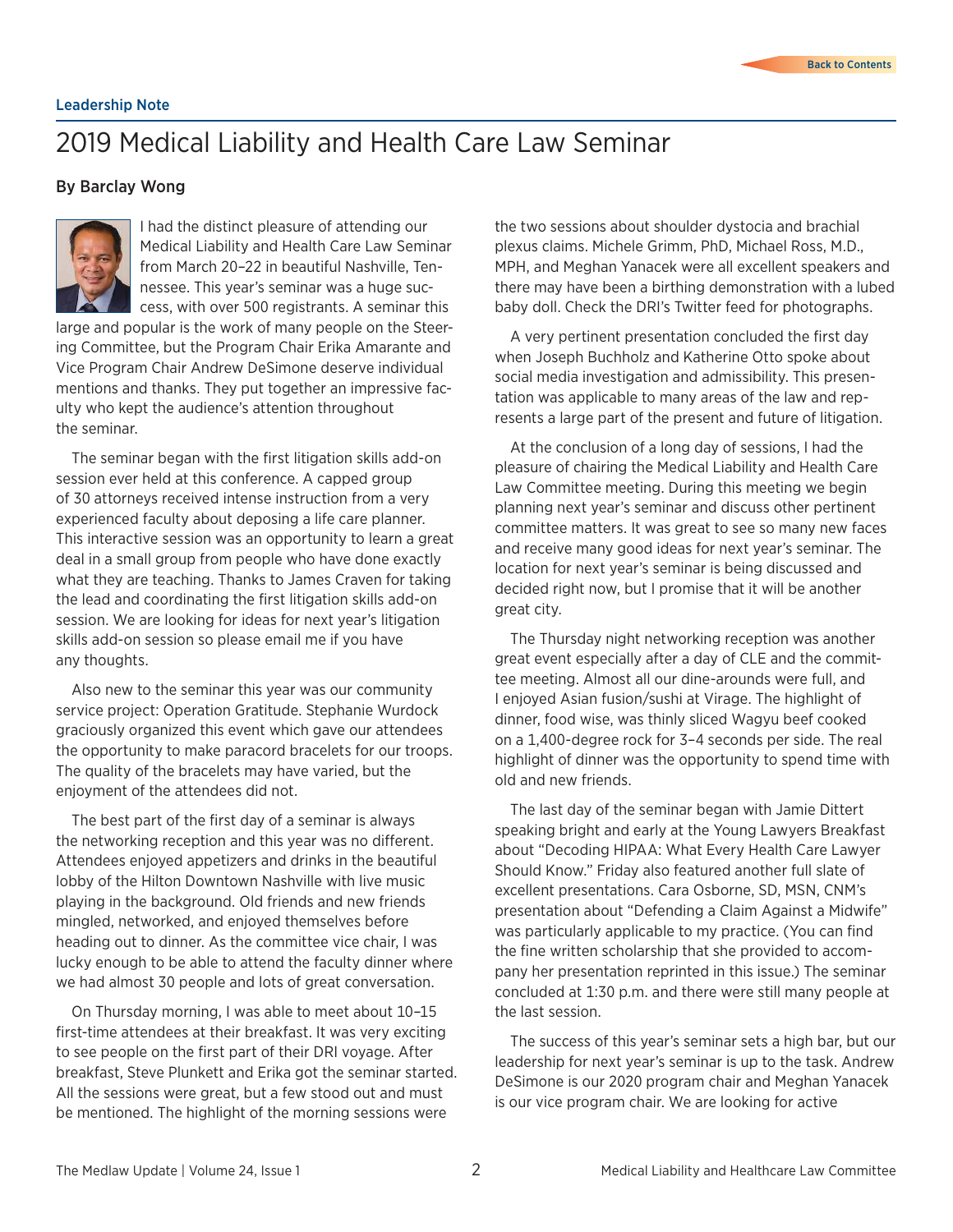#### <span id="page-1-0"></span>Leadership Note

# 2019 Medical Liability and Health Care Law Seminar

#### By Barclay Wong



I had the distinct pleasure of attending our Medical Liability and Health Care Law Seminar from March 20–22 in beautiful Nashville, Tennessee. This year's seminar was a huge success, with over 500 registrants. A seminar this

large and popular is the work of many people on the Steering Committee, but the Program Chair Erika Amarante and Vice Program Chair Andrew DeSimone deserve individual mentions and thanks. They put together an impressive faculty who kept the audience's attention throughout the seminar.

The seminar began with the first litigation skills add-on session ever held at this conference. A capped group of 30 attorneys received intense instruction from a very experienced faculty about deposing a life care planner. This interactive session was an opportunity to learn a great deal in a small group from people who have done exactly what they are teaching. Thanks to James Craven for taking the lead and coordinating the first litigation skills add-on session. We are looking for ideas for next year's litigation skills add-on session so please email me if you have any thoughts.

Also new to the seminar this year was our community service project: Operation Gratitude. Stephanie Wurdock graciously organized this event which gave our attendees the opportunity to make paracord bracelets for our troops. The quality of the bracelets may have varied, but the enjoyment of the attendees did not.

The best part of the first day of a seminar is always the networking reception and this year was no different. Attendees enjoyed appetizers and drinks in the beautiful lobby of the Hilton Downtown Nashville with live music playing in the background. Old friends and new friends mingled, networked, and enjoyed themselves before heading out to dinner. As the committee vice chair, I was lucky enough to be able to attend the faculty dinner where we had almost 30 people and lots of great conversation.

On Thursday morning, I was able to meet about 10–15 first-time attendees at their breakfast. It was very exciting to see people on the first part of their DRI voyage. After breakfast, Steve Plunkett and Erika got the seminar started. All the sessions were great, but a few stood out and must be mentioned. The highlight of the morning sessions were

the two sessions about shoulder dystocia and brachial plexus claims. Michele Grimm, PhD, Michael Ross, M.D., MPH, and Meghan Yanacek were all excellent speakers and there may have been a birthing demonstration with a lubed baby doll. Check the DRI's Twitter feed for photographs.

A very pertinent presentation concluded the first day when Joseph Buchholz and Katherine Otto spoke about social media investigation and admissibility. This presentation was applicable to many areas of the law and represents a large part of the present and future of litigation.

At the conclusion of a long day of sessions, I had the pleasure of chairing the Medical Liability and Health Care Law Committee meeting. During this meeting we begin planning next year's seminar and discuss other pertinent committee matters. It was great to see so many new faces and receive many good ideas for next year's seminar. The location for next year's seminar is being discussed and decided right now, but I promise that it will be another great city.

The Thursday night networking reception was another great event especially after a day of CLE and the committee meeting. Almost all our dine-arounds were full, and I enjoyed Asian fusion/sushi at Virage. The highlight of dinner, food wise, was thinly sliced Wagyu beef cooked on a 1,400-degree rock for 3–4 seconds per side. The real highlight of dinner was the opportunity to spend time with old and new friends.

The last day of the seminar began with Jamie Dittert speaking bright and early at the Young Lawyers Breakfast about "Decoding HIPAA: What Every Health Care Lawyer Should Know." Friday also featured another full slate of excellent presentations. Cara Osborne, SD, MSN, CNM's presentation about "Defending a Claim Against a Midwife" was particularly applicable to my practice. (You can find the fine written scholarship that she provided to accompany her presentation reprinted in this issue.) The seminar concluded at 1:30 p.m. and there were still many people at the last session.

The success of this year's seminar sets a high bar, but our leadership for next year's seminar is up to the task. Andrew DeSimone is our 2020 program chair and Meghan Yanacek is our vice program chair. We are looking for active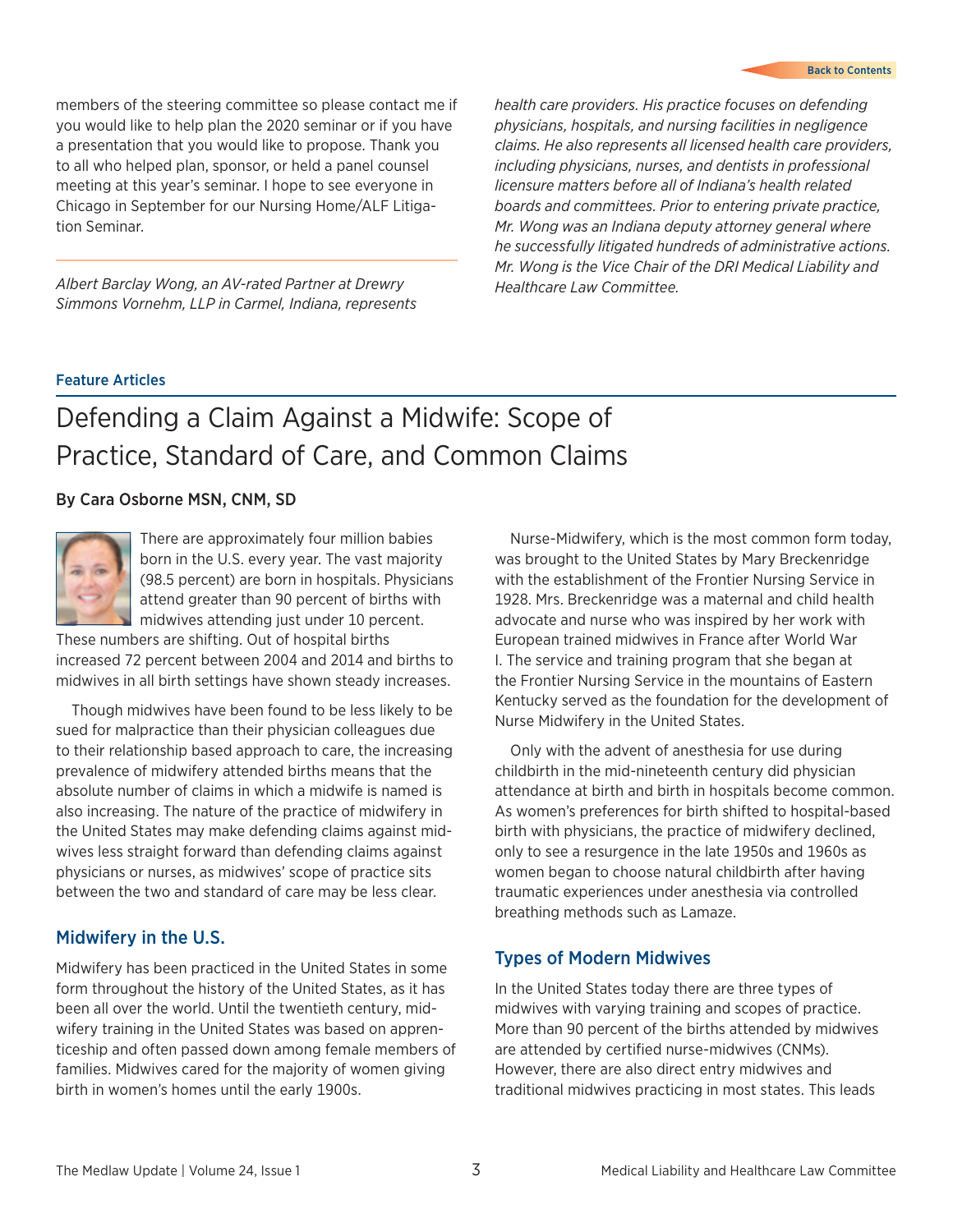#### [Back to Contents](#page-0-0)

<span id="page-2-0"></span>members of the steering committee so please contact me if you would like to help plan the 2020 seminar or if you have a presentation that you would like to propose. Thank you to all who helped plan, sponsor, or held a panel counsel meeting at this year's seminar. I hope to see everyone in Chicago in September for our Nursing Home/ALF Litigation Seminar.

*Albert Barclay Wong, an AV-rated Partner at Drewry Simmons Vornehm, LLP in Carmel, Indiana, represents*  *health care providers. His practice focuses on defending physicians, hospitals, and nursing facilities in negligence claims. He also represents all licensed health care providers, including physicians, nurses, and dentists in professional licensure matters before all of Indiana's health related boards and committees. Prior to entering private practice, Mr. Wong was an Indiana deputy attorney general where he successfully litigated hundreds of administrative actions. Mr. Wong is the Vice Chair of the DRI Medical Liability and Healthcare Law Committee.*

#### Feature Articles

# Defending a Claim Against a Midwife: Scope of Practice, Standard of Care, and Common Claims

#### By Cara Osborne MSN, CNM, SD



There are approximately four million babies born in the U.S. every year. The vast majority (98.5 percent) are born in hospitals. Physicians attend greater than 90 percent of births with midwives attending just under 10 percent.

These numbers are shifting. Out of hospital births increased 72 percent between 2004 and 2014 and births to midwives in all birth settings have shown steady increases.

Though midwives have been found to be less likely to be sued for malpractice than their physician colleagues due to their relationship based approach to care, the increasing prevalence of midwifery attended births means that the absolute number of claims in which a midwife is named is also increasing. The nature of the practice of midwifery in the United States may make defending claims against midwives less straight forward than defending claims against physicians or nurses, as midwives' scope of practice sits between the two and standard of care may be less clear.

#### Midwifery in the U.S.

Midwifery has been practiced in the United States in some form throughout the history of the United States, as it has been all over the world. Until the twentieth century, midwifery training in the United States was based on apprenticeship and often passed down among female members of families. Midwives cared for the majority of women giving birth in women's homes until the early 1900s.

Nurse-Midwifery, which is the most common form today, was brought to the United States by Mary Breckenridge with the establishment of the Frontier Nursing Service in 1928. Mrs. Breckenridge was a maternal and child health advocate and nurse who was inspired by her work with European trained midwives in France after World War I. The service and training program that she began at the Frontier Nursing Service in the mountains of Eastern Kentucky served as the foundation for the development of Nurse Midwifery in the United States.

Only with the advent of anesthesia for use during childbirth in the mid-nineteenth century did physician attendance at birth and birth in hospitals become common. As women's preferences for birth shifted to hospital-based birth with physicians, the practice of midwifery declined, only to see a resurgence in the late 1950s and 1960s as women began to choose natural childbirth after having traumatic experiences under anesthesia via controlled breathing methods such as Lamaze.

#### Types of Modern Midwives

In the United States today there are three types of midwives with varying training and scopes of practice. More than 90 percent of the births attended by midwives are attended by certified nurse-midwives (CNMs). However, there are also direct entry midwives and traditional midwives practicing in most states. This leads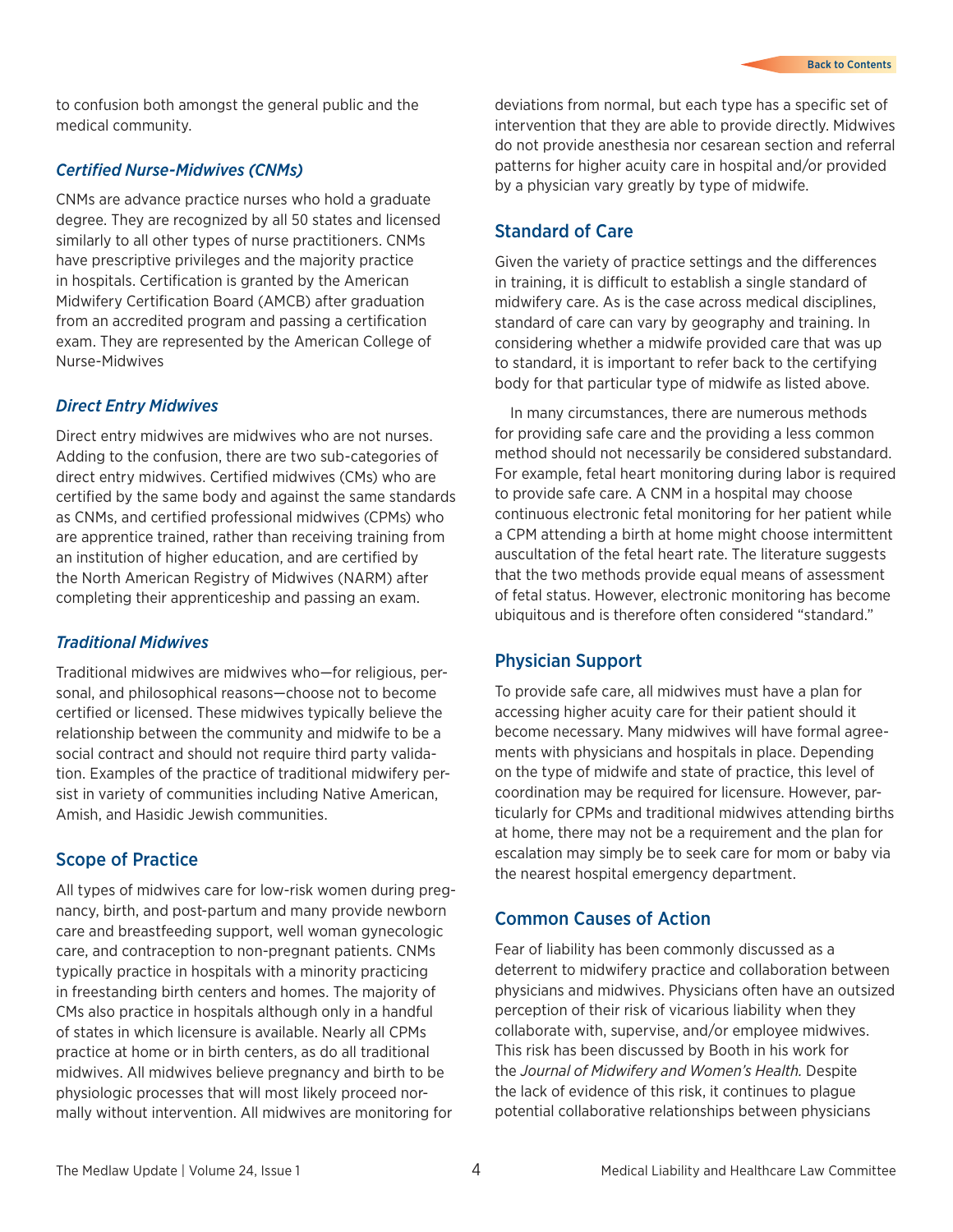to confusion both amongst the general public and the medical community.

#### *Certified Nurse-Midwives (CNMs)*

CNMs are advance practice nurses who hold a graduate degree. They are recognized by all 50 states and licensed similarly to all other types of nurse practitioners. CNMs have prescriptive privileges and the majority practice in hospitals. Certification is granted by the American Midwifery Certification Board (AMCB) after graduation from an accredited program and passing a certification exam. They are represented by the American College of Nurse-Midwives

#### *Direct Entry Midwives*

Direct entry midwives are midwives who are not nurses. Adding to the confusion, there are two sub-categories of direct entry midwives. Certified midwives (CMs) who are certified by the same body and against the same standards as CNMs, and certified professional midwives (CPMs) who are apprentice trained, rather than receiving training from an institution of higher education, and are certified by the North American Registry of Midwives (NARM) after completing their apprenticeship and passing an exam.

## *Traditional Midwives*

Traditional midwives are midwives who—for religious, personal, and philosophical reasons—choose not to become certified or licensed. These midwives typically believe the relationship between the community and midwife to be a social contract and should not require third party validation. Examples of the practice of traditional midwifery persist in variety of communities including Native American, Amish, and Hasidic Jewish communities.

## Scope of Practice

All types of midwives care for low-risk women during pregnancy, birth, and post-partum and many provide newborn care and breastfeeding support, well woman gynecologic care, and contraception to non-pregnant patients. CNMs typically practice in hospitals with a minority practicing in freestanding birth centers and homes. The majority of CMs also practice in hospitals although only in a handful of states in which licensure is available. Nearly all CPMs practice at home or in birth centers, as do all traditional midwives. All midwives believe pregnancy and birth to be physiologic processes that will most likely proceed normally without intervention. All midwives are monitoring for

deviations from normal, but each type has a specific set of intervention that they are able to provide directly. Midwives do not provide anesthesia nor cesarean section and referral patterns for higher acuity care in hospital and/or provided by a physician vary greatly by type of midwife.

## Standard of Care

Given the variety of practice settings and the differences in training, it is difficult to establish a single standard of midwifery care. As is the case across medical disciplines, standard of care can vary by geography and training. In considering whether a midwife provided care that was up to standard, it is important to refer back to the certifying body for that particular type of midwife as listed above.

In many circumstances, there are numerous methods for providing safe care and the providing a less common method should not necessarily be considered substandard. For example, fetal heart monitoring during labor is required to provide safe care. A CNM in a hospital may choose continuous electronic fetal monitoring for her patient while a CPM attending a birth at home might choose intermittent auscultation of the fetal heart rate. The literature suggests that the two methods provide equal means of assessment of fetal status. However, electronic monitoring has become ubiquitous and is therefore often considered "standard."

## Physician Support

To provide safe care, all midwives must have a plan for accessing higher acuity care for their patient should it become necessary. Many midwives will have formal agreements with physicians and hospitals in place. Depending on the type of midwife and state of practice, this level of coordination may be required for licensure. However, particularly for CPMs and traditional midwives attending births at home, there may not be a requirement and the plan for escalation may simply be to seek care for mom or baby via the nearest hospital emergency department.

## Common Causes of Action

Fear of liability has been commonly discussed as a deterrent to midwifery practice and collaboration between physicians and midwives. Physicians often have an outsized perception of their risk of vicarious liability when they collaborate with, supervise, and/or employee midwives. This risk has been discussed by Booth in his work for the *Journal of Midwifery and Women's Health.* Despite the lack of evidence of this risk, it continues to plague potential collaborative relationships between physicians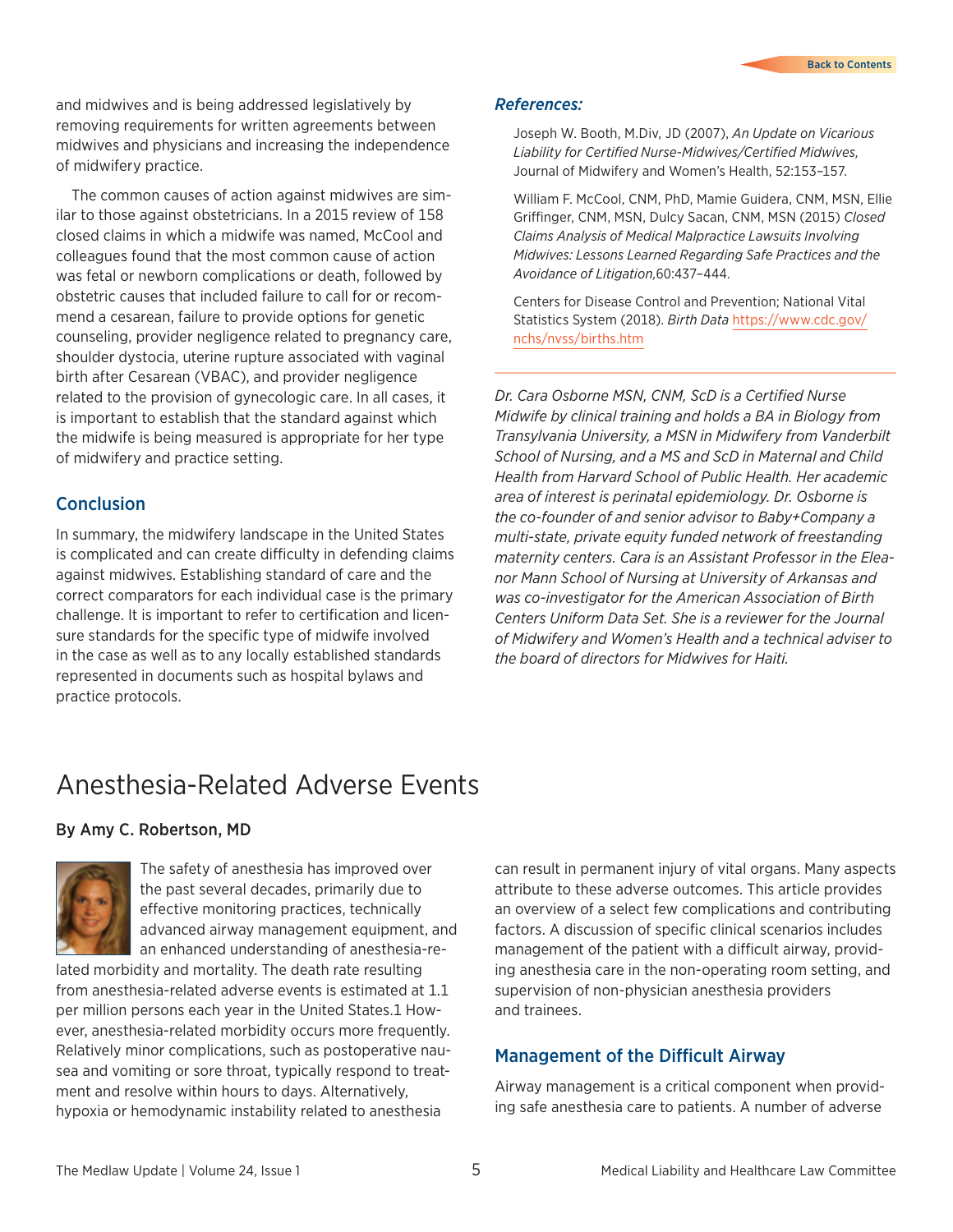<span id="page-4-0"></span>and midwives and is being addressed legislatively by removing requirements for written agreements between midwives and physicians and increasing the independence of midwifery practice.

The common causes of action against midwives are similar to those against obstetricians. In a 2015 review of 158 closed claims in which a midwife was named, McCool and colleagues found that the most common cause of action was fetal or newborn complications or death, followed by obstetric causes that included failure to call for or recommend a cesarean, failure to provide options for genetic counseling, provider negligence related to pregnancy care, shoulder dystocia, uterine rupture associated with vaginal birth after Cesarean (VBAC), and provider negligence related to the provision of gynecologic care. In all cases, it is important to establish that the standard against which the midwife is being measured is appropriate for her type of midwifery and practice setting.

#### Conclusion

In summary, the midwifery landscape in the United States is complicated and can create difficulty in defending claims against midwives. Establishing standard of care and the correct comparators for each individual case is the primary challenge. It is important to refer to certification and licensure standards for the specific type of midwife involved in the case as well as to any locally established standards represented in documents such as hospital bylaws and practice protocols.

#### *References:*

Joseph W. Booth, M.Div, JD (2007), *An Update on Vicarious Liability for Certified Nurse-Midwives/Certified Midwives,*  Journal of Midwifery and Women's Health, 52:153–157.

William F. McCool, CNM, PhD, Mamie Guidera, CNM, MSN, Ellie Griffinger, CNM, MSN, Dulcy Sacan, CNM, MSN (2015) *Closed Claims Analysis of Medical Malpractice Lawsuits Involving Midwives: Lessons Learned Regarding Safe Practices and the Avoidance of Litigation,*60:437–444.

Centers for Disease Control and Prevention; National Vital Statistics System (2018). *Birth Data* [https://www.cdc.gov/](https://www.cdc.gov/nchs/nvss/births.htm) [nchs/nvss/births.htm](https://www.cdc.gov/nchs/nvss/births.htm)

*Dr. Cara Osborne MSN, CNM, ScD is a Certified Nurse Midwife by clinical training and holds a BA in Biology from Transylvania University, a MSN in Midwifery from Vanderbilt School of Nursing, and a MS and ScD in Maternal and Child Health from Harvard School of Public Health. Her academic area of interest is perinatal epidemiology. Dr. Osborne is the co-founder of and senior advisor to Baby+Company a multi-state, private equity funded network of freestanding maternity centers. Cara is an Assistant Professor in the Eleanor Mann School of Nursing at University of Arkansas and was co-investigator for the American Association of Birth Centers Uniform Data Set. She is a reviewer for the Journal of Midwifery and Women's Health and a technical adviser to the board of directors for Midwives for Haiti.*

## Anesthesia-Related Adverse Events

#### By Amy C. Robertson, MD



The safety of anesthesia has improved over the past several decades, primarily due to effective monitoring practices, technically advanced airway management equipment, and an enhanced understanding of anesthesia-re-

lated morbidity and mortality. The death rate resulting from anesthesia-related adverse events is estimated at 1.1 per million persons each year in the United States.1 However, anesthesia-related morbidity occurs more frequently. Relatively minor complications, such as postoperative nausea and vomiting or sore throat, typically respond to treatment and resolve within hours to days. Alternatively, hypoxia or hemodynamic instability related to anesthesia

can result in permanent injury of vital organs. Many aspects attribute to these adverse outcomes. This article provides an overview of a select few complications and contributing factors. A discussion of specific clinical scenarios includes management of the patient with a difficult airway, providing anesthesia care in the non-operating room setting, and supervision of non-physician anesthesia providers and trainees.

## Management of the Difficult Airway

Airway management is a critical component when providing safe anesthesia care to patients. A number of adverse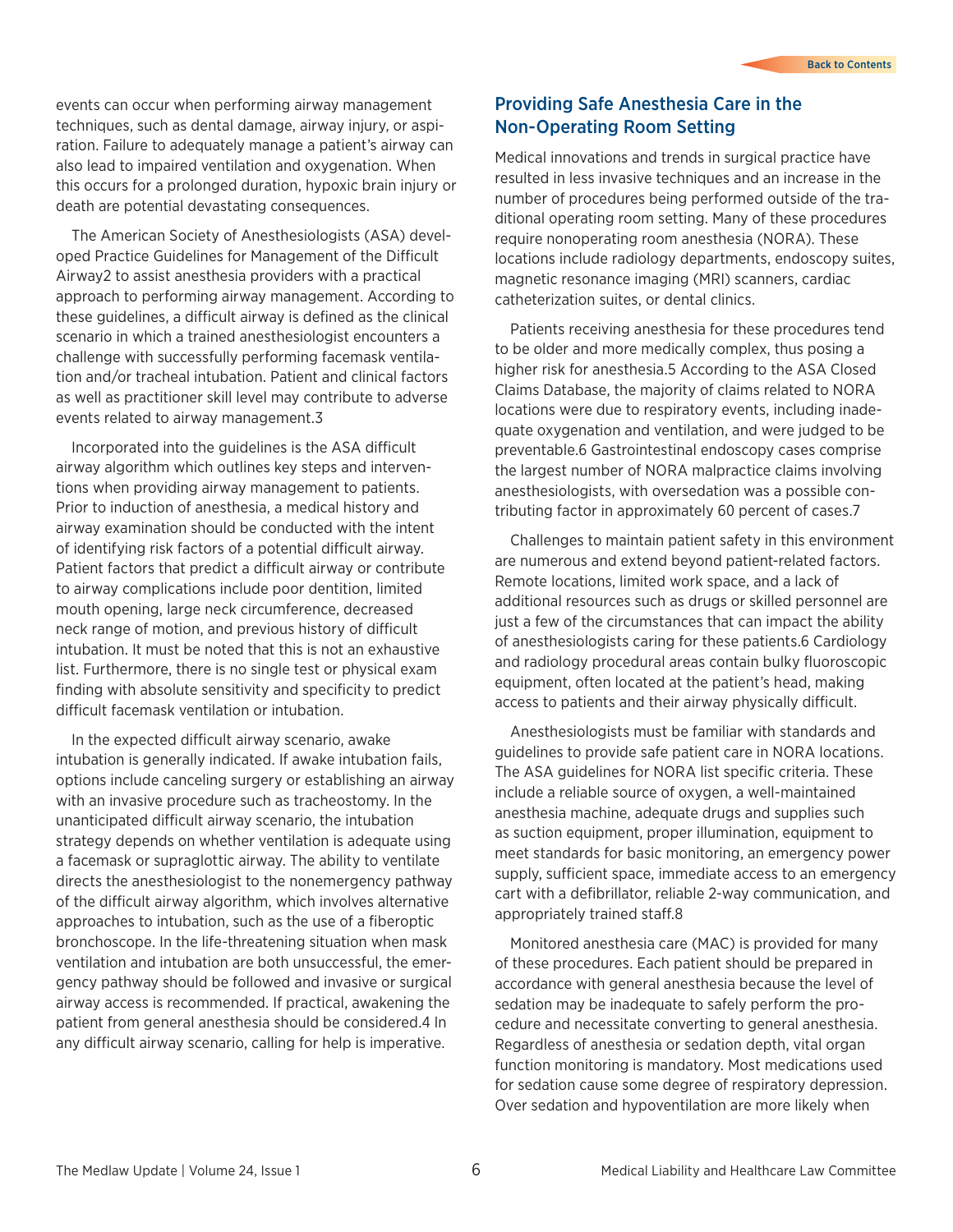events can occur when performing airway management techniques, such as dental damage, airway injury, or aspiration. Failure to adequately manage a patient's airway can also lead to impaired ventilation and oxygenation. When this occurs for a prolonged duration, hypoxic brain injury or death are potential devastating consequences.

The American Society of Anesthesiologists (ASA) developed Practice Guidelines for Management of the Difficult Airway2 to assist anesthesia providers with a practical approach to performing airway management. According to these guidelines, a difficult airway is defined as the clinical scenario in which a trained anesthesiologist encounters a challenge with successfully performing facemask ventilation and/or tracheal intubation. Patient and clinical factors as well as practitioner skill level may contribute to adverse events related to airway management.3

Incorporated into the guidelines is the ASA difficult airway algorithm which outlines key steps and interventions when providing airway management to patients. Prior to induction of anesthesia, a medical history and airway examination should be conducted with the intent of identifying risk factors of a potential difficult airway. Patient factors that predict a difficult airway or contribute to airway complications include poor dentition, limited mouth opening, large neck circumference, decreased neck range of motion, and previous history of difficult intubation. It must be noted that this is not an exhaustive list. Furthermore, there is no single test or physical exam finding with absolute sensitivity and specificity to predict difficult facemask ventilation or intubation.

In the expected difficult airway scenario, awake intubation is generally indicated. If awake intubation fails, options include canceling surgery or establishing an airway with an invasive procedure such as tracheostomy. In the unanticipated difficult airway scenario, the intubation strategy depends on whether ventilation is adequate using a facemask or supraglottic airway. The ability to ventilate directs the anesthesiologist to the nonemergency pathway of the difficult airway algorithm, which involves alternative approaches to intubation, such as the use of a fiberoptic bronchoscope. In the life-threatening situation when mask ventilation and intubation are both unsuccessful, the emergency pathway should be followed and invasive or surgical airway access is recommended. If practical, awakening the patient from general anesthesia should be considered.4 In any difficult airway scenario, calling for help is imperative.

## Providing Safe Anesthesia Care in the Non-Operating Room Setting

Medical innovations and trends in surgical practice have resulted in less invasive techniques and an increase in the number of procedures being performed outside of the traditional operating room setting. Many of these procedures require nonoperating room anesthesia (NORA). These locations include radiology departments, endoscopy suites, magnetic resonance imaging (MRI) scanners, cardiac catheterization suites, or dental clinics.

Patients receiving anesthesia for these procedures tend to be older and more medically complex, thus posing a higher risk for anesthesia.5 According to the ASA Closed Claims Database, the majority of claims related to NORA locations were due to respiratory events, including inadequate oxygenation and ventilation, and were judged to be preventable.6 Gastrointestinal endoscopy cases comprise the largest number of NORA malpractice claims involving anesthesiologists, with oversedation was a possible contributing factor in approximately 60 percent of cases.7

Challenges to maintain patient safety in this environment are numerous and extend beyond patient-related factors. Remote locations, limited work space, and a lack of additional resources such as drugs or skilled personnel are just a few of the circumstances that can impact the ability of anesthesiologists caring for these patients.6 Cardiology and radiology procedural areas contain bulky fluoroscopic equipment, often located at the patient's head, making access to patients and their airway physically difficult.

Anesthesiologists must be familiar with standards and guidelines to provide safe patient care in NORA locations. The ASA guidelines for NORA list specific criteria. These include a reliable source of oxygen, a well-maintained anesthesia machine, adequate drugs and supplies such as suction equipment, proper illumination, equipment to meet standards for basic monitoring, an emergency power supply, sufficient space, immediate access to an emergency cart with a defibrillator, reliable 2-way communication, and appropriately trained staff.8

Monitored anesthesia care (MAC) is provided for many of these procedures. Each patient should be prepared in accordance with general anesthesia because the level of sedation may be inadequate to safely perform the procedure and necessitate converting to general anesthesia. Regardless of anesthesia or sedation depth, vital organ function monitoring is mandatory. Most medications used for sedation cause some degree of respiratory depression. Over sedation and hypoventilation are more likely when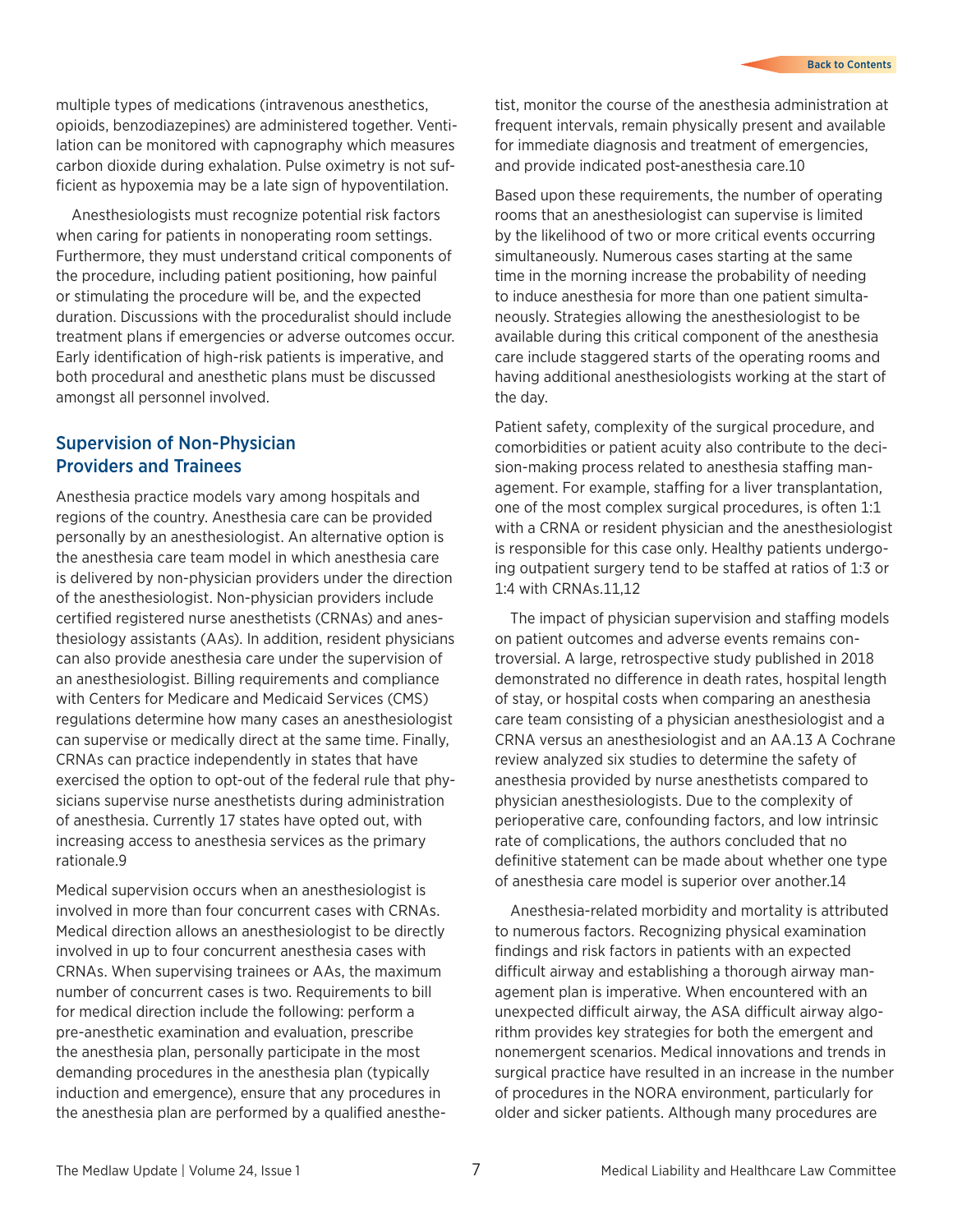multiple types of medications (intravenous anesthetics, opioids, benzodiazepines) are administered together. Ventilation can be monitored with capnography which measures carbon dioxide during exhalation. Pulse oximetry is not sufficient as hypoxemia may be a late sign of hypoventilation.

Anesthesiologists must recognize potential risk factors when caring for patients in nonoperating room settings. Furthermore, they must understand critical components of the procedure, including patient positioning, how painful or stimulating the procedure will be, and the expected duration. Discussions with the proceduralist should include treatment plans if emergencies or adverse outcomes occur. Early identification of high-risk patients is imperative, and both procedural and anesthetic plans must be discussed amongst all personnel involved.

## Supervision of Non-Physician Providers and Trainees

Anesthesia practice models vary among hospitals and regions of the country. Anesthesia care can be provided personally by an anesthesiologist. An alternative option is the anesthesia care team model in which anesthesia care is delivered by non-physician providers under the direction of the anesthesiologist. Non-physician providers include certified registered nurse anesthetists (CRNAs) and anesthesiology assistants (AAs). In addition, resident physicians can also provide anesthesia care under the supervision of an anesthesiologist. Billing requirements and compliance with Centers for Medicare and Medicaid Services (CMS) regulations determine how many cases an anesthesiologist can supervise or medically direct at the same time. Finally, CRNAs can practice independently in states that have exercised the option to opt-out of the federal rule that physicians supervise nurse anesthetists during administration of anesthesia. Currently 17 states have opted out, with increasing access to anesthesia services as the primary rationale.9

Medical supervision occurs when an anesthesiologist is involved in more than four concurrent cases with CRNAs. Medical direction allows an anesthesiologist to be directly involved in up to four concurrent anesthesia cases with CRNAs. When supervising trainees or AAs, the maximum number of concurrent cases is two. Requirements to bill for medical direction include the following: perform a pre-anesthetic examination and evaluation, prescribe the anesthesia plan, personally participate in the most demanding procedures in the anesthesia plan (typically induction and emergence), ensure that any procedures in the anesthesia plan are performed by a qualified anesthetist, monitor the course of the anesthesia administration at frequent intervals, remain physically present and available for immediate diagnosis and treatment of emergencies, and provide indicated post-anesthesia care.10

Based upon these requirements, the number of operating rooms that an anesthesiologist can supervise is limited by the likelihood of two or more critical events occurring simultaneously. Numerous cases starting at the same time in the morning increase the probability of needing to induce anesthesia for more than one patient simultaneously. Strategies allowing the anesthesiologist to be available during this critical component of the anesthesia care include staggered starts of the operating rooms and having additional anesthesiologists working at the start of the day.

Patient safety, complexity of the surgical procedure, and comorbidities or patient acuity also contribute to the decision-making process related to anesthesia staffing management. For example, staffing for a liver transplantation, one of the most complex surgical procedures, is often 1:1 with a CRNA or resident physician and the anesthesiologist is responsible for this case only. Healthy patients undergoing outpatient surgery tend to be staffed at ratios of 1:3 or 1:4 with CRNAs.11,12

The impact of physician supervision and staffing models on patient outcomes and adverse events remains controversial. A large, retrospective study published in 2018 demonstrated no difference in death rates, hospital length of stay, or hospital costs when comparing an anesthesia care team consisting of a physician anesthesiologist and a CRNA versus an anesthesiologist and an AA.13 A Cochrane review analyzed six studies to determine the safety of anesthesia provided by nurse anesthetists compared to physician anesthesiologists. Due to the complexity of perioperative care, confounding factors, and low intrinsic rate of complications, the authors concluded that no definitive statement can be made about whether one type of anesthesia care model is superior over another.14

Anesthesia-related morbidity and mortality is attributed to numerous factors. Recognizing physical examination findings and risk factors in patients with an expected difficult airway and establishing a thorough airway management plan is imperative. When encountered with an unexpected difficult airway, the ASA difficult airway algorithm provides key strategies for both the emergent and nonemergent scenarios. Medical innovations and trends in surgical practice have resulted in an increase in the number of procedures in the NORA environment, particularly for older and sicker patients. Although many procedures are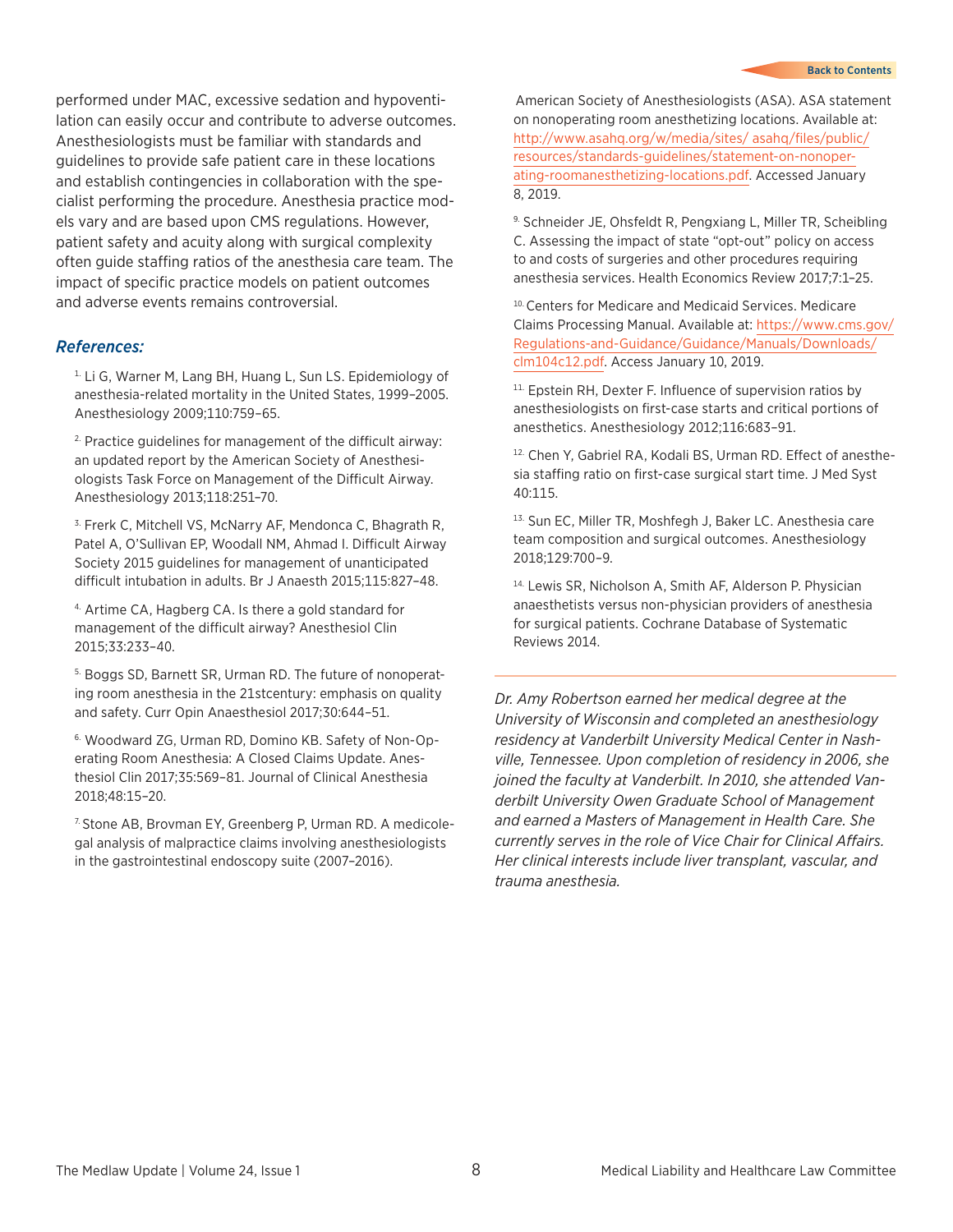performed under MAC, excessive sedation and hypoventilation can easily occur and contribute to adverse outcomes. Anesthesiologists must be familiar with standards and guidelines to provide safe patient care in these locations and establish contingencies in collaboration with the specialist performing the procedure. Anesthesia practice models vary and are based upon CMS regulations. However, patient safety and acuity along with surgical complexity often guide staffing ratios of the anesthesia care team. The impact of specific practice models on patient outcomes and adverse events remains controversial.

#### *References:*

<sup>1.</sup> Li G, Warner M, Lang BH, Huang L, Sun LS. Epidemiology of anesthesia-related mortality in the United States, 1999–2005. Anesthesiology 2009;110:759–65.

2. Practice guidelines for management of the difficult airway: an updated report by the American Society of Anesthesiologists Task Force on Management of the Difficult Airway. Anesthesiology 2013;118:251–70.

<sup>3.</sup> Frerk C, Mitchell VS, McNarry AF, Mendonca C, Bhagrath R, Patel A, O'Sullivan EP, Woodall NM, Ahmad I. Difficult Airway Society 2015 guidelines for management of unanticipated difficult intubation in adults. Br J Anaesth 2015;115:827–48.

4. Artime CA, Hagberg CA. Is there a gold standard for management of the difficult airway? Anesthesiol Clin 2015;33:233–40.

5. Boggs SD, Barnett SR, Urman RD. The future of nonoperating room anesthesia in the 21stcentury: emphasis on quality and safety. Curr Opin Anaesthesiol 2017;30:644–51.

6. Woodward ZG, Urman RD, Domino KB. Safety of Non-Operating Room Anesthesia: A Closed Claims Update. Anesthesiol Clin 2017;35:569–81. Journal of Clinical Anesthesia 2018;48:15–20.

7. Stone AB, Brovman EY, Greenberg P, Urman RD. A medicolegal analysis of malpractice claims involving anesthesiologists in the gastrointestinal endoscopy suite (2007–2016).

American Society of Anesthesiologists (ASA). ASA statement on nonoperating room anesthetizing locations. Available at: [http://www.asahq.org/w/media/sites/ asahq/files/public/](http://www.asahq.org/w/media/sites/ asahq/files/public/resources/standards-guidelines/statement-on-nonoperating-roomanesthetizing-locations.pdf) [resources/standards-guidelines/statement-on-nonoper](http://www.asahq.org/w/media/sites/ asahq/files/public/resources/standards-guidelines/statement-on-nonoperating-roomanesthetizing-locations.pdf)[ating-roomanesthetizing-locations.pdf](http://www.asahq.org/w/media/sites/ asahq/files/public/resources/standards-guidelines/statement-on-nonoperating-roomanesthetizing-locations.pdf). Accessed January 8, 2019.

9. Schneider JE, Ohsfeldt R, Pengxiang L, Miller TR, Scheibling C. Assessing the impact of state "opt-out" policy on access to and costs of surgeries and other procedures requiring anesthesia services. Health Economics Review 2017;7:1–25.

10. Centers for Medicare and Medicaid Services. Medicare Claims Processing Manual. Available at: [https://www.cms.gov/](https://www.cms.gov/Regulations-and-Guidance/Guidance/Manuals/Downloads/clm104c12.pdf) [Regulations-and-Guidance/Guidance/Manuals/Downloads/](https://www.cms.gov/Regulations-and-Guidance/Guidance/Manuals/Downloads/clm104c12.pdf) [clm104c12.pdf](https://www.cms.gov/Regulations-and-Guidance/Guidance/Manuals/Downloads/clm104c12.pdf). Access January 10, 2019.

<sup>11.</sup> Epstein RH, Dexter F. Influence of supervision ratios by anesthesiologists on first-case starts and critical portions of anesthetics. Anesthesiology 2012;116:683–91.

12. Chen Y, Gabriel RA, Kodali BS, Urman RD. Effect of anesthesia staffing ratio on first-case surgical start time. J Med Syst 40:115.

13. Sun EC, Miller TR, Moshfegh J, Baker LC. Anesthesia care team composition and surgical outcomes. Anesthesiology 2018;129:700–9.

14. Lewis SR, Nicholson A, Smith AF, Alderson P. Physician anaesthetists versus non-physician providers of anesthesia for surgical patients. Cochrane Database of Systematic Reviews 2014.

*Dr. Amy Robertson earned her medical degree at the University of Wisconsin and completed an anesthesiology residency at Vanderbilt University Medical Center in Nashville, Tennessee. Upon completion of residency in 2006, she joined the faculty at Vanderbilt. In 2010, she attended Vanderbilt University Owen Graduate School of Management and earned a Masters of Management in Health Care. She currently serves in the role of Vice Chair for Clinical Affairs. Her clinical interests include liver transplant, vascular, and trauma anesthesia.*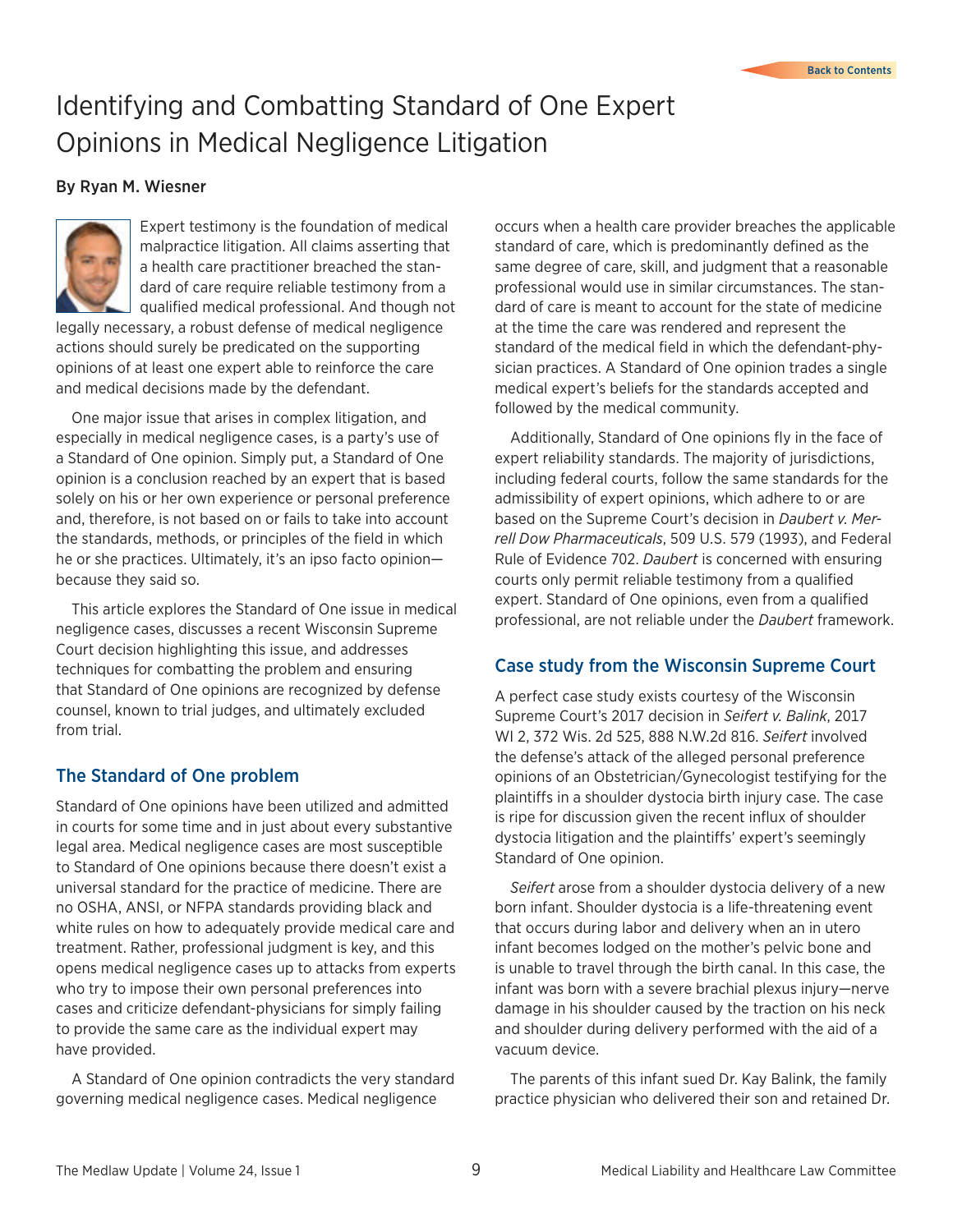# <span id="page-8-0"></span>Identifying and Combatting Standard of One Expert Opinions in Medical Negligence Litigation

#### By Ryan M. Wiesner



Expert testimony is the foundation of medical malpractice litigation. All claims asserting that a health care practitioner breached the standard of care require reliable testimony from a qualified medical professional. And though not

legally necessary, a robust defense of medical negligence actions should surely be predicated on the supporting opinions of at least one expert able to reinforce the care and medical decisions made by the defendant.

One major issue that arises in complex litigation, and especially in medical negligence cases, is a party's use of a Standard of One opinion. Simply put, a Standard of One opinion is a conclusion reached by an expert that is based solely on his or her own experience or personal preference and, therefore, is not based on or fails to take into account the standards, methods, or principles of the field in which he or she practices. Ultimately, it's an ipso facto opinion because they said so.

This article explores the Standard of One issue in medical negligence cases, discusses a recent Wisconsin Supreme Court decision highlighting this issue, and addresses techniques for combatting the problem and ensuring that Standard of One opinions are recognized by defense counsel, known to trial judges, and ultimately excluded from trial.

## The Standard of One problem

Standard of One opinions have been utilized and admitted in courts for some time and in just about every substantive legal area. Medical negligence cases are most susceptible to Standard of One opinions because there doesn't exist a universal standard for the practice of medicine. There are no OSHA, ANSI, or NFPA standards providing black and white rules on how to adequately provide medical care and treatment. Rather, professional judgment is key, and this opens medical negligence cases up to attacks from experts who try to impose their own personal preferences into cases and criticize defendant-physicians for simply failing to provide the same care as the individual expert may have provided.

A Standard of One opinion contradicts the very standard governing medical negligence cases. Medical negligence

occurs when a health care provider breaches the applicable standard of care, which is predominantly defined as the same degree of care, skill, and judgment that a reasonable professional would use in similar circumstances. The standard of care is meant to account for the state of medicine at the time the care was rendered and represent the standard of the medical field in which the defendant-physician practices. A Standard of One opinion trades a single medical expert's beliefs for the standards accepted and followed by the medical community.

Additionally, Standard of One opinions fly in the face of expert reliability standards. The majority of jurisdictions, including federal courts, follow the same standards for the admissibility of expert opinions, which adhere to or are based on the Supreme Court's decision in *Daubert v. Merrell Dow Pharmaceuticals*, 509 U.S. 579 (1993), and Federal Rule of Evidence 702. *Daubert* is concerned with ensuring courts only permit reliable testimony from a qualified expert. Standard of One opinions, even from a qualified professional, are not reliable under the *Daubert* framework.

## Case study from the Wisconsin Supreme Court

A perfect case study exists courtesy of the Wisconsin Supreme Court's 2017 decision in *Seifert v. Balink*, 2017 WI 2, 372 Wis. 2d 525, 888 N.W.2d 816. *Seifert* involved the defense's attack of the alleged personal preference opinions of an Obstetrician/Gynecologist testifying for the plaintiffs in a shoulder dystocia birth injury case. The case is ripe for discussion given the recent influx of shoulder dystocia litigation and the plaintiffs' expert's seemingly Standard of One opinion.

*Seifert* arose from a shoulder dystocia delivery of a new born infant. Shoulder dystocia is a life-threatening event that occurs during labor and delivery when an in utero infant becomes lodged on the mother's pelvic bone and is unable to travel through the birth canal. In this case, the infant was born with a severe brachial plexus injury—nerve damage in his shoulder caused by the traction on his neck and shoulder during delivery performed with the aid of a vacuum device.

The parents of this infant sued Dr. Kay Balink, the family practice physician who delivered their son and retained Dr.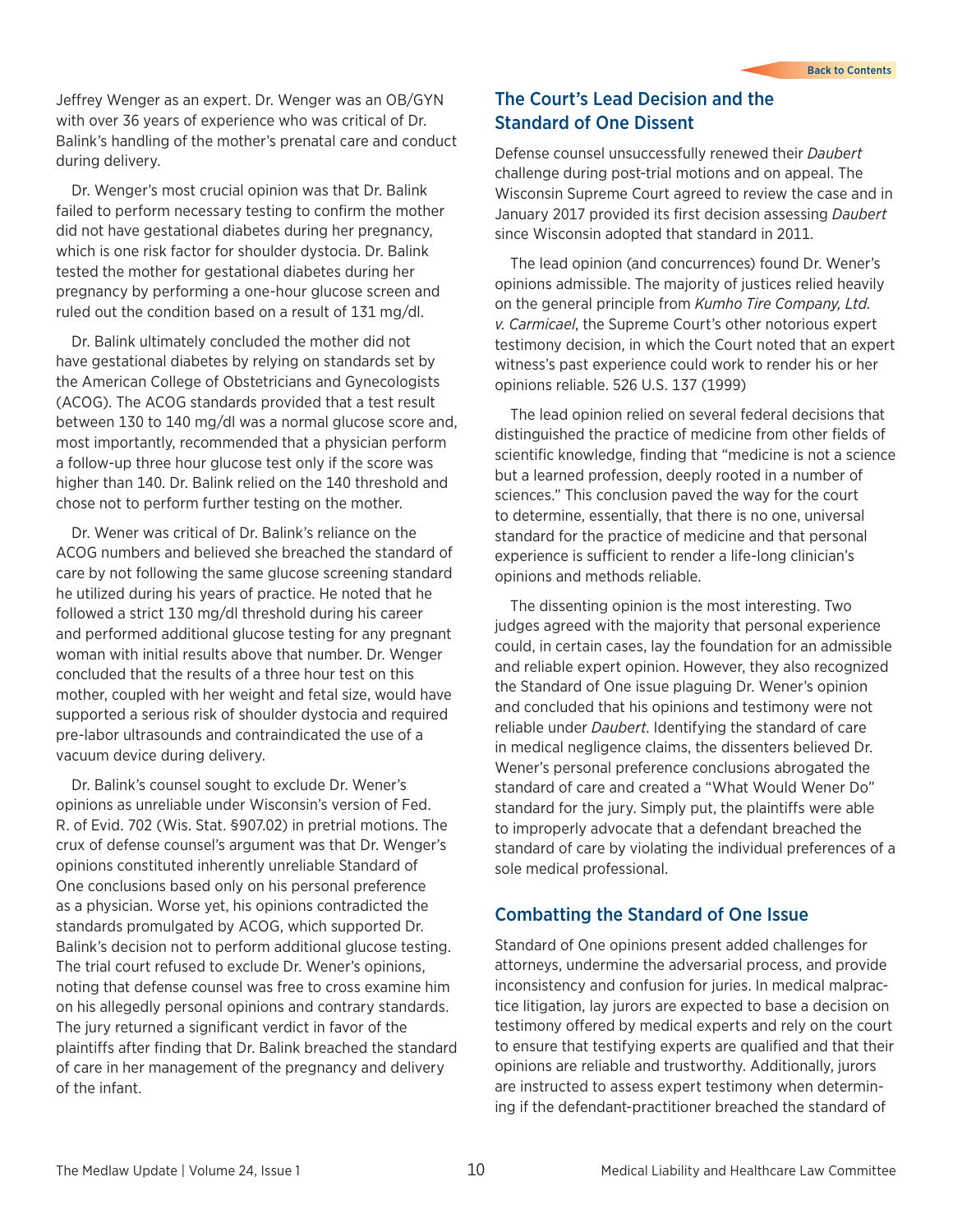Jeffrey Wenger as an expert. Dr. Wenger was an OB/GYN with over 36 years of experience who was critical of Dr. Balink's handling of the mother's prenatal care and conduct during delivery.

Dr. Wenger's most crucial opinion was that Dr. Balink failed to perform necessary testing to confirm the mother did not have gestational diabetes during her pregnancy, which is one risk factor for shoulder dystocia. Dr. Balink tested the mother for gestational diabetes during her pregnancy by performing a one-hour glucose screen and ruled out the condition based on a result of 131 mg/dl.

Dr. Balink ultimately concluded the mother did not have gestational diabetes by relying on standards set by the American College of Obstetricians and Gynecologists (ACOG). The ACOG standards provided that a test result between 130 to 140 mg/dl was a normal glucose score and, most importantly, recommended that a physician perform a follow-up three hour glucose test only if the score was higher than 140. Dr. Balink relied on the 140 threshold and chose not to perform further testing on the mother.

Dr. Wener was critical of Dr. Balink's reliance on the ACOG numbers and believed she breached the standard of care by not following the same glucose screening standard he utilized during his years of practice. He noted that he followed a strict 130 mg/dl threshold during his career and performed additional glucose testing for any pregnant woman with initial results above that number. Dr. Wenger concluded that the results of a three hour test on this mother, coupled with her weight and fetal size, would have supported a serious risk of shoulder dystocia and required pre-labor ultrasounds and contraindicated the use of a vacuum device during delivery.

Dr. Balink's counsel sought to exclude Dr. Wener's opinions as unreliable under Wisconsin's version of Fed. R. of Evid. 702 (Wis. Stat. §907.02) in pretrial motions. The crux of defense counsel's argument was that Dr. Wenger's opinions constituted inherently unreliable Standard of One conclusions based only on his personal preference as a physician. Worse yet, his opinions contradicted the standards promulgated by ACOG, which supported Dr. Balink's decision not to perform additional glucose testing. The trial court refused to exclude Dr. Wener's opinions, noting that defense counsel was free to cross examine him on his allegedly personal opinions and contrary standards. The jury returned a significant verdict in favor of the plaintiffs after finding that Dr. Balink breached the standard of care in her management of the pregnancy and delivery of the infant.

## The Court's Lead Decision and the Standard of One Dissent

Defense counsel unsuccessfully renewed their *Daubert*  challenge during post-trial motions and on appeal. The Wisconsin Supreme Court agreed to review the case and in January 2017 provided its first decision assessing *Daubert* since Wisconsin adopted that standard in 2011.

The lead opinion (and concurrences) found Dr. Wener's opinions admissible. The majority of justices relied heavily on the general principle from *Kumho Tire Company, Ltd. v. Carmicael*, the Supreme Court's other notorious expert testimony decision, in which the Court noted that an expert witness's past experience could work to render his or her opinions reliable. 526 U.S. 137 (1999)

The lead opinion relied on several federal decisions that distinguished the practice of medicine from other fields of scientific knowledge, finding that "medicine is not a science but a learned profession, deeply rooted in a number of sciences." This conclusion paved the way for the court to determine, essentially, that there is no one, universal standard for the practice of medicine and that personal experience is sufficient to render a life-long clinician's opinions and methods reliable.

The dissenting opinion is the most interesting. Two judges agreed with the majority that personal experience could, in certain cases, lay the foundation for an admissible and reliable expert opinion. However, they also recognized the Standard of One issue plaguing Dr. Wener's opinion and concluded that his opinions and testimony were not reliable under *Daubert*. Identifying the standard of care in medical negligence claims, the dissenters believed Dr. Wener's personal preference conclusions abrogated the standard of care and created a "What Would Wener Do" standard for the jury. Simply put, the plaintiffs were able to improperly advocate that a defendant breached the standard of care by violating the individual preferences of a sole medical professional.

## Combatting the Standard of One Issue

Standard of One opinions present added challenges for attorneys, undermine the adversarial process, and provide inconsistency and confusion for juries. In medical malpractice litigation, lay jurors are expected to base a decision on testimony offered by medical experts and rely on the court to ensure that testifying experts are qualified and that their opinions are reliable and trustworthy. Additionally, jurors are instructed to assess expert testimony when determining if the defendant-practitioner breached the standard of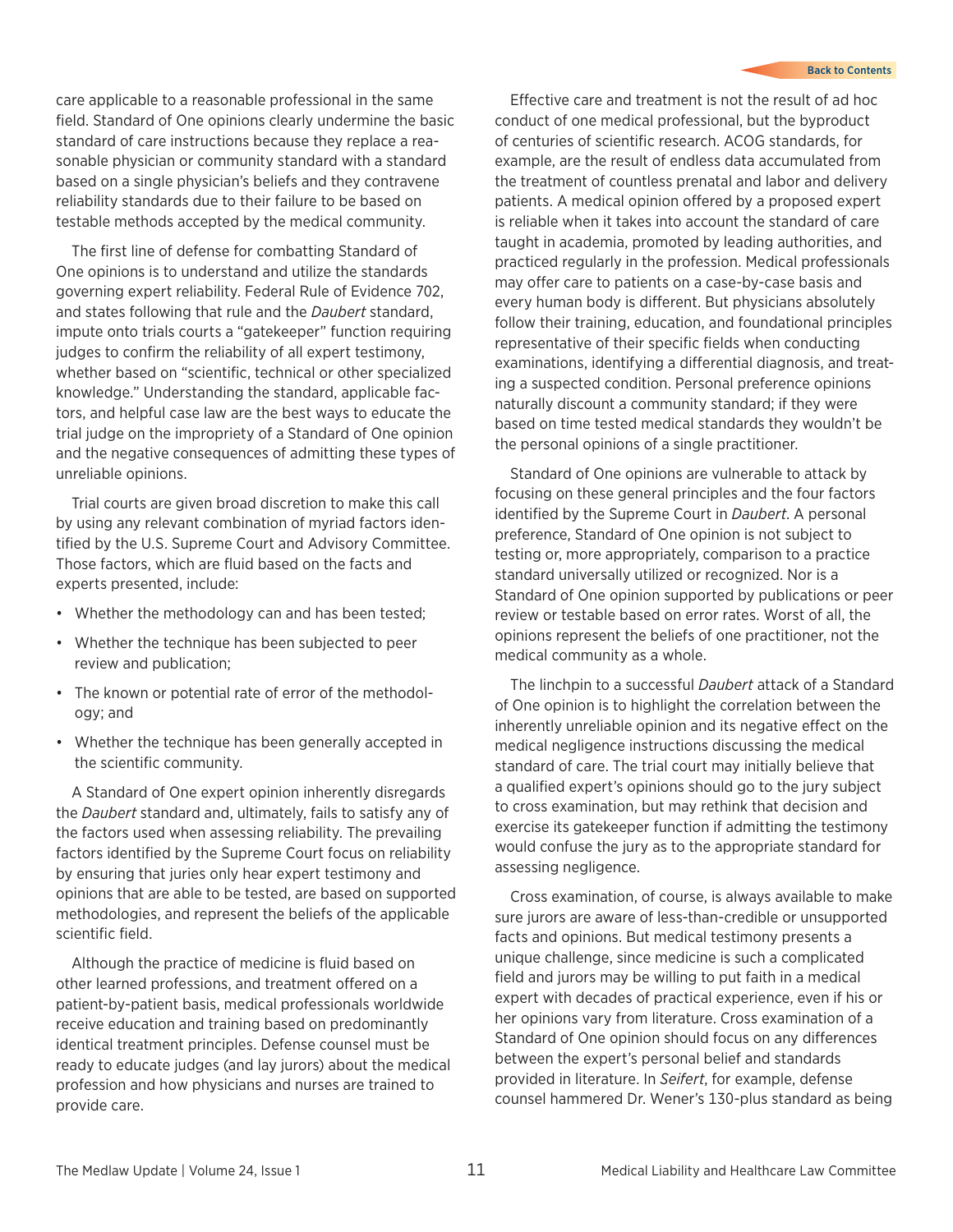care applicable to a reasonable professional in the same field. Standard of One opinions clearly undermine the basic standard of care instructions because they replace a reasonable physician or community standard with a standard based on a single physician's beliefs and they contravene reliability standards due to their failure to be based on testable methods accepted by the medical community.

The first line of defense for combatting Standard of One opinions is to understand and utilize the standards governing expert reliability. Federal Rule of Evidence 702, and states following that rule and the *Daubert* standard, impute onto trials courts a "gatekeeper" function requiring judges to confirm the reliability of all expert testimony, whether based on "scientific, technical or other specialized knowledge." Understanding the standard, applicable factors, and helpful case law are the best ways to educate the trial judge on the impropriety of a Standard of One opinion and the negative consequences of admitting these types of unreliable opinions.

Trial courts are given broad discretion to make this call by using any relevant combination of myriad factors identified by the U.S. Supreme Court and Advisory Committee. Those factors, which are fluid based on the facts and experts presented, include:

- Whether the methodology can and has been tested;
- Whether the technique has been subjected to peer review and publication;
- The known or potential rate of error of the methodology; and
- Whether the technique has been generally accepted in the scientific community.

A Standard of One expert opinion inherently disregards the *Daubert* standard and, ultimately, fails to satisfy any of the factors used when assessing reliability. The prevailing factors identified by the Supreme Court focus on reliability by ensuring that juries only hear expert testimony and opinions that are able to be tested, are based on supported methodologies, and represent the beliefs of the applicable scientific field.

Although the practice of medicine is fluid based on other learned professions, and treatment offered on a patient-by-patient basis, medical professionals worldwide receive education and training based on predominantly identical treatment principles. Defense counsel must be ready to educate judges (and lay jurors) about the medical profession and how physicians and nurses are trained to provide care.

Effective care and treatment is not the result of ad hoc conduct of one medical professional, but the byproduct of centuries of scientific research. ACOG standards, for example, are the result of endless data accumulated from the treatment of countless prenatal and labor and delivery patients. A medical opinion offered by a proposed expert is reliable when it takes into account the standard of care taught in academia, promoted by leading authorities, and practiced regularly in the profession. Medical professionals may offer care to patients on a case-by-case basis and every human body is different. But physicians absolutely follow their training, education, and foundational principles representative of their specific fields when conducting examinations, identifying a differential diagnosis, and treating a suspected condition. Personal preference opinions naturally discount a community standard; if they were based on time tested medical standards they wouldn't be the personal opinions of a single practitioner.

Standard of One opinions are vulnerable to attack by focusing on these general principles and the four factors identified by the Supreme Court in *Daubert*. A personal preference, Standard of One opinion is not subject to testing or, more appropriately, comparison to a practice standard universally utilized or recognized. Nor is a Standard of One opinion supported by publications or peer review or testable based on error rates. Worst of all, the opinions represent the beliefs of one practitioner, not the medical community as a whole.

The linchpin to a successful *Daubert* attack of a Standard of One opinion is to highlight the correlation between the inherently unreliable opinion and its negative effect on the medical negligence instructions discussing the medical standard of care. The trial court may initially believe that a qualified expert's opinions should go to the jury subject to cross examination, but may rethink that decision and exercise its gatekeeper function if admitting the testimony would confuse the jury as to the appropriate standard for assessing negligence.

Cross examination, of course, is always available to make sure jurors are aware of less-than-credible or unsupported facts and opinions. But medical testimony presents a unique challenge, since medicine is such a complicated field and jurors may be willing to put faith in a medical expert with decades of practical experience, even if his or her opinions vary from literature. Cross examination of a Standard of One opinion should focus on any differences between the expert's personal belief and standards provided in literature. In *Seifert*, for example, defense counsel hammered Dr. Wener's 130-plus standard as being